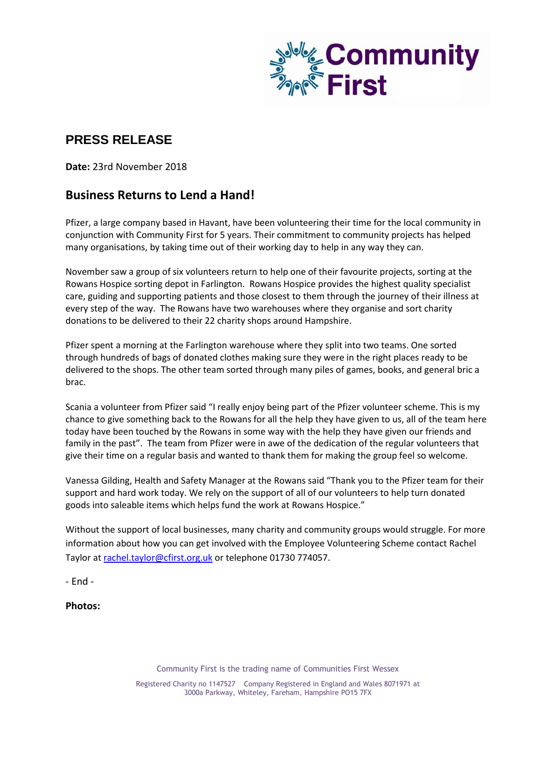

## **PRESS RELEASE**

**Date:** 23rd November 2018

## **Business Returns to Lend a Hand!**

Pfizer, a large company based in Havant, have been volunteering their time for the local community in conjunction with Community First for 5 years. Their commitment to community projects has helped many organisations, by taking time out of their working day to help in any way they can.

November saw a group of six volunteers return to help one of their favourite projects, sorting at the Rowans Hospice sorting depot in Farlington. Rowans Hospice provides the highest quality specialist care, guiding and supporting patients and those closest to them through the journey of their illness at every step of the way. The Rowans have two warehouses where they organise and sort charity donations to be delivered to their 22 charity shops around Hampshire.

Pfizer spent a morning at the Farlington warehouse where they split into two teams. One sorted through hundreds of bags of donated clothes making sure they were in the right places ready to be delivered to the shops. The other team sorted through many piles of games, books, and general bric a brac.

Scania a volunteer from Pfizer said "I really enjoy being part of the Pfizer volunteer scheme. This is my chance to give something back to the Rowans for all the help they have given to us, all of the team here today have been touched by the Rowans in some way with the help they have given our friends and family in the past". The team from Pfizer were in awe of the dedication of the regular volunteers that give their time on a regular basis and wanted to thank them for making the group feel so welcome.

Vanessa Gilding, Health and Safety Manager at the Rowans said "Thank you to the Pfizer team for their support and hard work today. We rely on the support of all of our volunteers to help turn donated goods into saleable items which helps fund the work at Rowans Hospice."

Without the support of local businesses, many charity and community groups would struggle. For more information about how you can get involved with the Employee Volunteering Scheme contact Rachel Taylor a[t rachel.taylor@cfirst.org.](mailto:rachel.taylor@cfirst.org.uk)uk or telephone 01730 774057.

- End -

**Photos:**

Community First is the trading name of Communities First Wessex Registered Charity no 1147527 Company Registered in England and Wales 8071971 at 3000a Parkway, Whiteley, Fareham, Hampshire PO15 7FX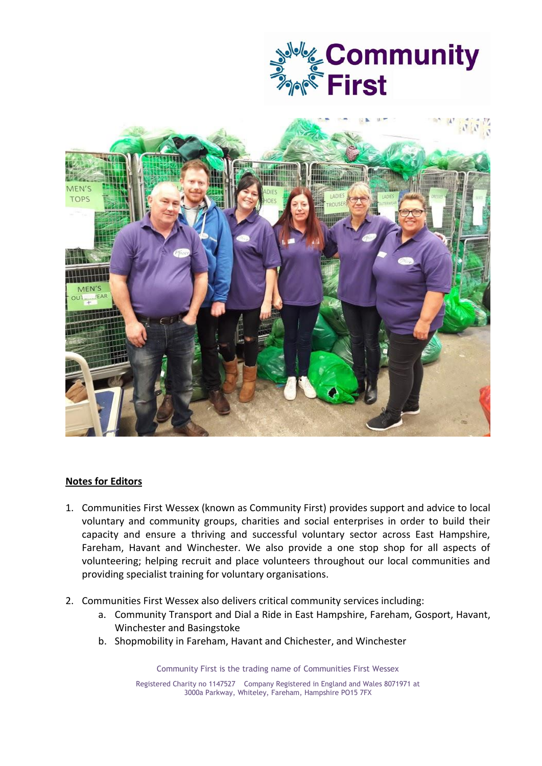



## **Notes for Editors**

- 1. Communities First Wessex (known as Community First) provides support and advice to local voluntary and community groups, charities and social enterprises in order to build their capacity and ensure a thriving and successful voluntary sector across East Hampshire, Fareham, Havant and Winchester. We also provide a one stop shop for all aspects of volunteering; helping recruit and place volunteers throughout our local communities and providing specialist training for voluntary organisations.
- 2. Communities First Wessex also delivers critical community services including:
	- a. Community Transport and Dial a Ride in East Hampshire, Fareham, Gosport, Havant, Winchester and Basingstoke
	- b. Shopmobility in Fareham, Havant and Chichester, and Winchester

Community First is the trading name of Communities First Wessex

Registered Charity no 1147527 Company Registered in England and Wales 8071971 at 3000a Parkway, Whiteley, Fareham, Hampshire PO15 7FX